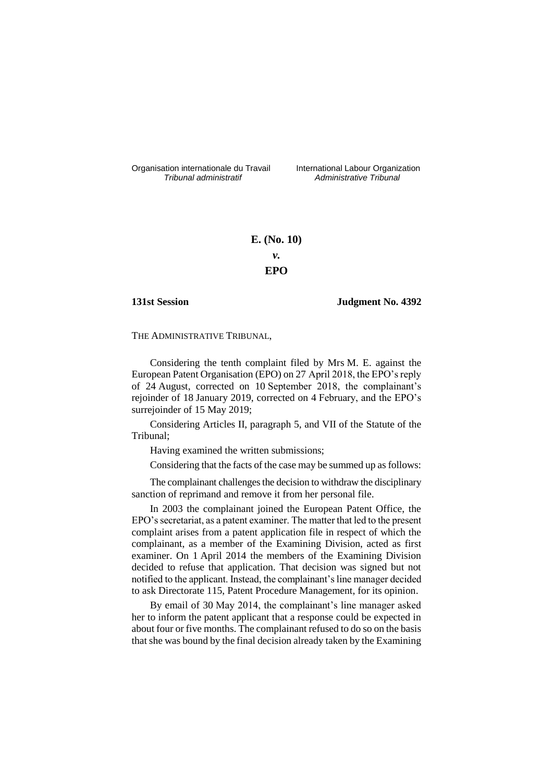Organisation internationale du Travail liternational Labour Organization<br> *Tribunal administratif Administrative Tribunal* 

*Tribunal administratif Administrative Tribunal*

# **E. (No. 10)** *v.* **EPO**

## **131st Session Judgment No. 4392**

THE ADMINISTRATIVE TRIBUNAL,

Considering the tenth complaint filed by Mrs M. E. against the European Patent Organisation (EPO) on 27 April 2018, the EPO's reply of 24 August, corrected on 10 September 2018, the complainant's rejoinder of 18 January 2019, corrected on 4 February, and the EPO's surrejoinder of 15 May 2019;

Considering Articles II, paragraph 5, and VII of the Statute of the Tribunal;

Having examined the written submissions;

Considering that the facts of the case may be summed up as follows:

The complainant challenges the decision to withdraw the disciplinary sanction of reprimand and remove it from her personal file.

In 2003 the complainant joined the European Patent Office, the EPO's secretariat, as a patent examiner. The matter that led to the present complaint arises from a patent application file in respect of which the complainant, as a member of the Examining Division, acted as first examiner. On 1 April 2014 the members of the Examining Division decided to refuse that application. That decision was signed but not notified to the applicant. Instead, the complainant's line manager decided to ask Directorate 115, Patent Procedure Management, for its opinion.

By email of 30 May 2014, the complainant's line manager asked her to inform the patent applicant that a response could be expected in about four or five months. The complainant refused to do so on the basis that she was bound by the final decision already taken by the Examining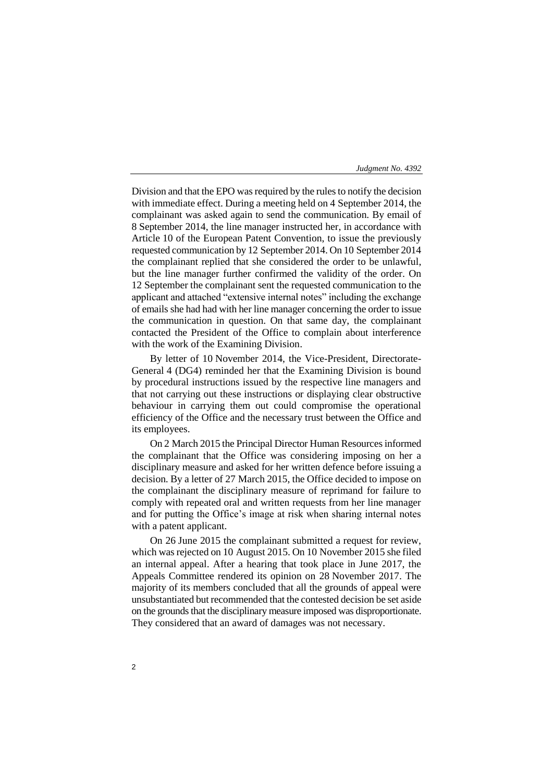Division and that the EPO was required by the rules to notify the decision with immediate effect. During a meeting held on 4 September 2014, the complainant was asked again to send the communication. By email of 8 September 2014, the line manager instructed her, in accordance with Article 10 of the European Patent Convention, to issue the previously requested communication by 12 September 2014. On 10 September 2014 the complainant replied that she considered the order to be unlawful, but the line manager further confirmed the validity of the order. On 12 September the complainant sent the requested communication to the applicant and attached "extensive internal notes" including the exchange of emails she had had with her line manager concerning the order to issue the communication in question. On that same day, the complainant contacted the President of the Office to complain about interference with the work of the Examining Division.

By letter of 10 November 2014, the Vice-President, Directorate-General 4 (DG4) reminded her that the Examining Division is bound by procedural instructions issued by the respective line managers and that not carrying out these instructions or displaying clear obstructive behaviour in carrying them out could compromise the operational efficiency of the Office and the necessary trust between the Office and its employees.

On 2 March 2015 the Principal Director Human Resources informed the complainant that the Office was considering imposing on her a disciplinary measure and asked for her written defence before issuing a decision. By a letter of 27 March 2015, the Office decided to impose on the complainant the disciplinary measure of reprimand for failure to comply with repeated oral and written requests from her line manager and for putting the Office's image at risk when sharing internal notes with a patent applicant.

On 26 June 2015 the complainant submitted a request for review, which was rejected on 10 August 2015. On 10 November 2015 she filed an internal appeal. After a hearing that took place in June 2017, the Appeals Committee rendered its opinion on 28 November 2017. The majority of its members concluded that all the grounds of appeal were unsubstantiated but recommended that the contested decision be set aside on the grounds that the disciplinary measure imposed was disproportionate. They considered that an award of damages was not necessary.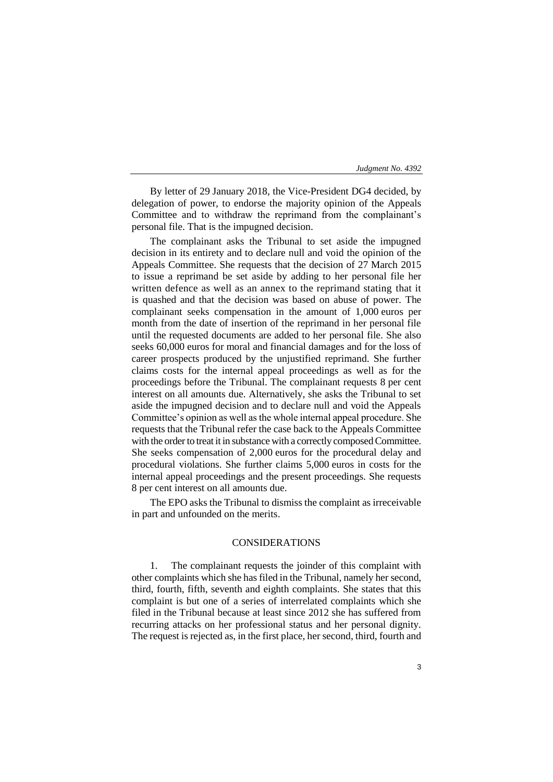By letter of 29 January 2018, the Vice-President DG4 decided, by delegation of power, to endorse the majority opinion of the Appeals Committee and to withdraw the reprimand from the complainant's personal file. That is the impugned decision.

The complainant asks the Tribunal to set aside the impugned decision in its entirety and to declare null and void the opinion of the Appeals Committee. She requests that the decision of 27 March 2015 to issue a reprimand be set aside by adding to her personal file her written defence as well as an annex to the reprimand stating that it is quashed and that the decision was based on abuse of power. The complainant seeks compensation in the amount of 1,000 euros per month from the date of insertion of the reprimand in her personal file until the requested documents are added to her personal file. She also seeks 60,000 euros for moral and financial damages and for the loss of career prospects produced by the unjustified reprimand. She further claims costs for the internal appeal proceedings as well as for the proceedings before the Tribunal. The complainant requests 8 per cent interest on all amounts due. Alternatively, she asks the Tribunal to set aside the impugned decision and to declare null and void the Appeals Committee's opinion as well as the whole internal appeal procedure. She requests that the Tribunal refer the case back to the Appeals Committee with the order to treat it in substance with a correctly composed Committee. She seeks compensation of 2,000 euros for the procedural delay and procedural violations. She further claims 5,000 euros in costs for the internal appeal proceedings and the present proceedings. She requests 8 per cent interest on all amounts due.

The EPO asks the Tribunal to dismiss the complaint as irreceivable in part and unfounded on the merits.

# CONSIDERATIONS

1. The complainant requests the joinder of this complaint with other complaints which she has filed in the Tribunal, namely her second, third, fourth, fifth, seventh and eighth complaints. She states that this complaint is but one of a series of interrelated complaints which she filed in the Tribunal because at least since 2012 she has suffered from recurring attacks on her professional status and her personal dignity. The request is rejected as, in the first place, her second, third, fourth and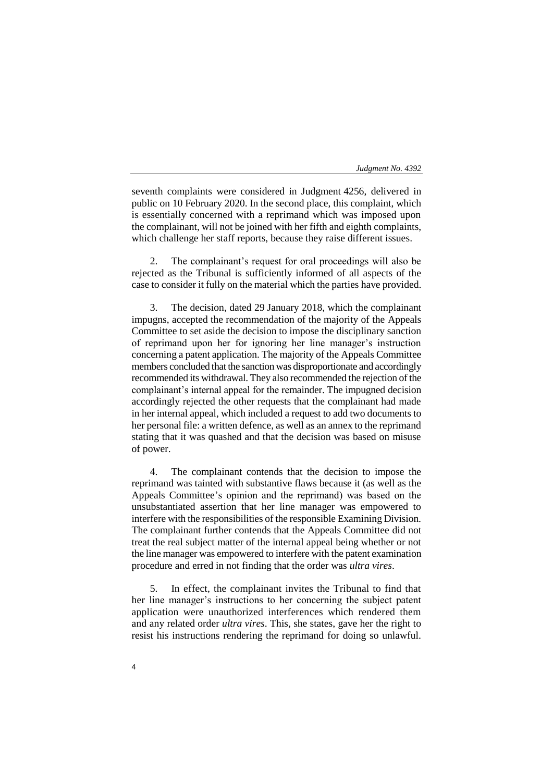seventh complaints were considered in Judgment 4256, delivered in public on 10 February 2020. In the second place, this complaint, which is essentially concerned with a reprimand which was imposed upon the complainant, will not be joined with her fifth and eighth complaints, which challenge her staff reports, because they raise different issues.

2. The complainant's request for oral proceedings will also be rejected as the Tribunal is sufficiently informed of all aspects of the case to consider it fully on the material which the parties have provided.

3. The decision, dated 29 January 2018, which the complainant impugns, accepted the recommendation of the majority of the Appeals Committee to set aside the decision to impose the disciplinary sanction of reprimand upon her for ignoring her line manager's instruction concerning a patent application. The majority of the Appeals Committee members concluded that the sanction was disproportionate and accordingly recommended its withdrawal. They also recommended the rejection of the complainant's internal appeal for the remainder. The impugned decision accordingly rejected the other requests that the complainant had made in her internal appeal, which included a request to add two documents to her personal file: a written defence, as well as an annex to the reprimand stating that it was quashed and that the decision was based on misuse of power.

4. The complainant contends that the decision to impose the reprimand was tainted with substantive flaws because it (as well as the Appeals Committee's opinion and the reprimand) was based on the unsubstantiated assertion that her line manager was empowered to interfere with the responsibilities of the responsible Examining Division. The complainant further contends that the Appeals Committee did not treat the real subject matter of the internal appeal being whether or not the line manager was empowered to interfere with the patent examination procedure and erred in not finding that the order was *ultra vires*.

5. In effect, the complainant invites the Tribunal to find that her line manager's instructions to her concerning the subject patent application were unauthorized interferences which rendered them and any related order *ultra vires*. This, she states, gave her the right to resist his instructions rendering the reprimand for doing so unlawful.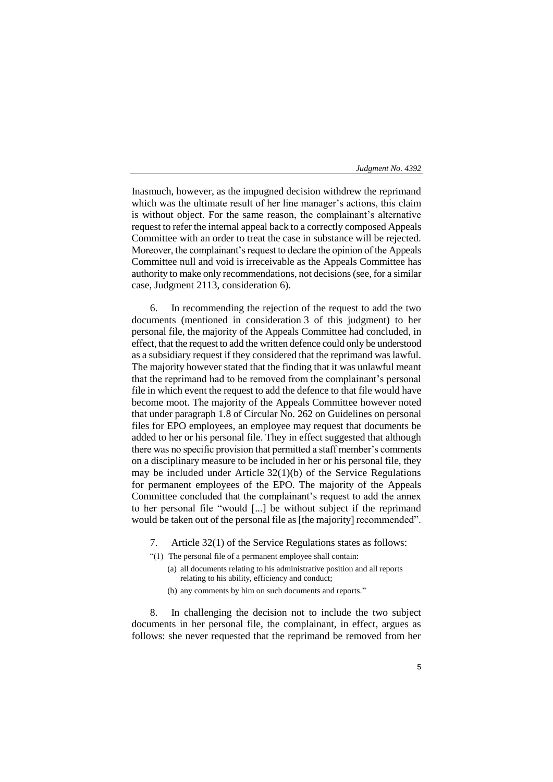Inasmuch, however, as the impugned decision withdrew the reprimand which was the ultimate result of her line manager's actions, this claim is without object. For the same reason, the complainant's alternative request to refer the internal appeal back to a correctly composed Appeals Committee with an order to treat the case in substance will be rejected. Moreover, the complainant's request to declare the opinion of the Appeals Committee null and void is irreceivable as the Appeals Committee has authority to make only recommendations, not decisions (see, for a similar case, Judgment 2113, consideration 6).

6. In recommending the rejection of the request to add the two documents (mentioned in consideration 3 of this judgment) to her personal file, the majority of the Appeals Committee had concluded, in effect, that the request to add the written defence could only be understood as a subsidiary request if they considered that the reprimand was lawful. The majority however stated that the finding that it was unlawful meant that the reprimand had to be removed from the complainant's personal file in which event the request to add the defence to that file would have become moot. The majority of the Appeals Committee however noted that under paragraph 1.8 of Circular No. 262 on Guidelines on personal files for EPO employees, an employee may request that documents be added to her or his personal file. They in effect suggested that although there was no specific provision that permitted a staff member's comments on a disciplinary measure to be included in her or his personal file, they may be included under Article 32(1)(b) of the Service Regulations for permanent employees of the EPO. The majority of the Appeals Committee concluded that the complainant's request to add the annex to her personal file "would [...] be without subject if the reprimand would be taken out of the personal file as [the majority] recommended".

- 7. Article 32(1) of the Service Regulations states as follows:
- "(1) The personal file of a permanent employee shall contain:
	- (a) all documents relating to his administrative position and all reports relating to his ability, efficiency and conduct;
	- (b) any comments by him on such documents and reports."

8. In challenging the decision not to include the two subject documents in her personal file, the complainant, in effect, argues as follows: she never requested that the reprimand be removed from her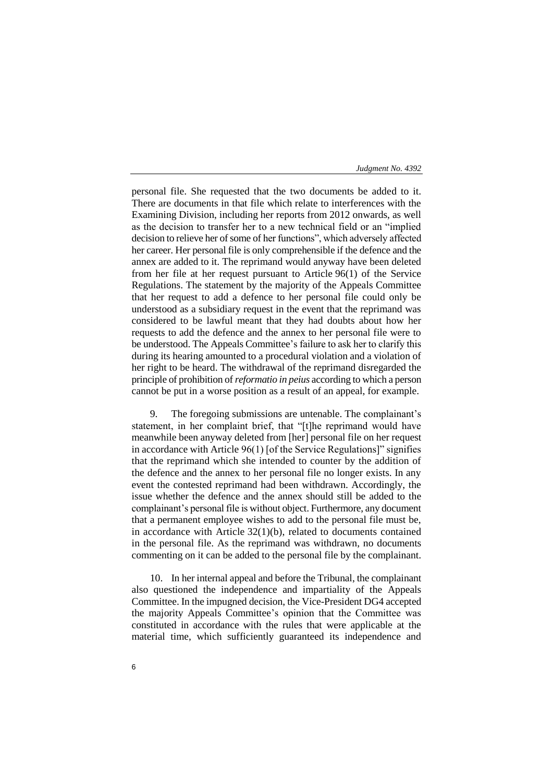personal file. She requested that the two documents be added to it. There are documents in that file which relate to interferences with the Examining Division, including her reports from 2012 onwards, as well as the decision to transfer her to a new technical field or an "implied decision to relieve her of some of her functions", which adversely affected her career. Her personal file is only comprehensible if the defence and the annex are added to it. The reprimand would anyway have been deleted from her file at her request pursuant to Article 96(1) of the Service Regulations. The statement by the majority of the Appeals Committee that her request to add a defence to her personal file could only be understood as a subsidiary request in the event that the reprimand was considered to be lawful meant that they had doubts about how her requests to add the defence and the annex to her personal file were to be understood. The Appeals Committee's failure to ask her to clarify this during its hearing amounted to a procedural violation and a violation of her right to be heard. The withdrawal of the reprimand disregarded the principle of prohibition of *reformatio in peius* according to which a person cannot be put in a worse position as a result of an appeal, for example.

The foregoing submissions are untenable. The complainant's statement, in her complaint brief, that "[t]he reprimand would have meanwhile been anyway deleted from [her] personal file on her request in accordance with Article 96(1) [of the Service Regulations]" signifies that the reprimand which she intended to counter by the addition of the defence and the annex to her personal file no longer exists. In any event the contested reprimand had been withdrawn. Accordingly, the issue whether the defence and the annex should still be added to the complainant's personal file is without object. Furthermore, any document that a permanent employee wishes to add to the personal file must be, in accordance with Article  $32(1)(b)$ , related to documents contained in the personal file. As the reprimand was withdrawn, no documents commenting on it can be added to the personal file by the complainant.

10. In her internal appeal and before the Tribunal, the complainant also questioned the independence and impartiality of the Appeals Committee. In the impugned decision, the Vice-President DG4 accepted the majority Appeals Committee's opinion that the Committee was constituted in accordance with the rules that were applicable at the material time, which sufficiently guaranteed its independence and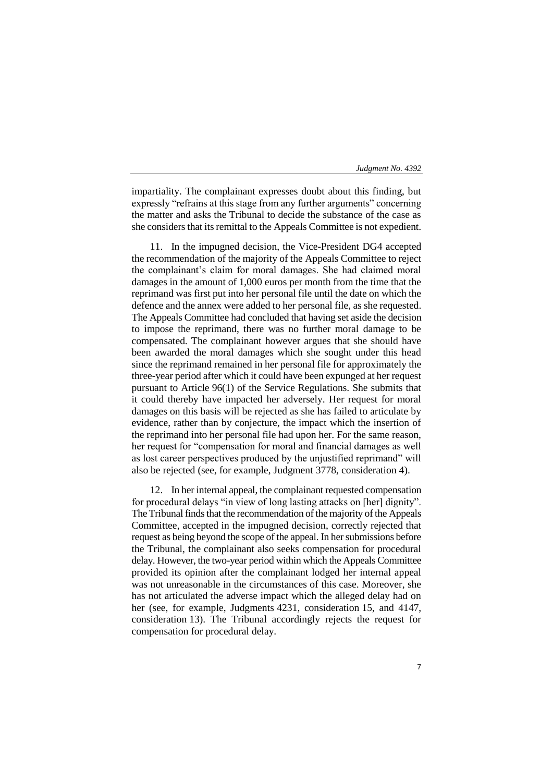impartiality. The complainant expresses doubt about this finding, but expressly "refrains at this stage from any further arguments" concerning the matter and asks the Tribunal to decide the substance of the case as she considers that its remittal to the Appeals Committee is not expedient.

11. In the impugned decision, the Vice-President DG4 accepted the recommendation of the majority of the Appeals Committee to reject the complainant's claim for moral damages. She had claimed moral damages in the amount of 1,000 euros per month from the time that the reprimand was first put into her personal file until the date on which the defence and the annex were added to her personal file, as she requested. The Appeals Committee had concluded that having set aside the decision to impose the reprimand, there was no further moral damage to be compensated. The complainant however argues that she should have been awarded the moral damages which she sought under this head since the reprimand remained in her personal file for approximately the three-year period after which it could have been expunged at her request pursuant to Article 96(1) of the Service Regulations. She submits that it could thereby have impacted her adversely. Her request for moral damages on this basis will be rejected as she has failed to articulate by evidence, rather than by conjecture, the impact which the insertion of the reprimand into her personal file had upon her. For the same reason, her request for "compensation for moral and financial damages as well as lost career perspectives produced by the unjustified reprimand" will also be rejected (see, for example, Judgment 3778, consideration 4).

12. In her internal appeal, the complainant requested compensation for procedural delays "in view of long lasting attacks on [her] dignity". The Tribunal finds that the recommendation of the majority of the Appeals Committee, accepted in the impugned decision, correctly rejected that request as being beyond the scope of the appeal. In her submissions before the Tribunal, the complainant also seeks compensation for procedural delay. However, the two-year period within which the Appeals Committee provided its opinion after the complainant lodged her internal appeal was not unreasonable in the circumstances of this case. Moreover, she has not articulated the adverse impact which the alleged delay had on her (see, for example, Judgments 4231, consideration 15, and 4147, consideration 13). The Tribunal accordingly rejects the request for compensation for procedural delay.